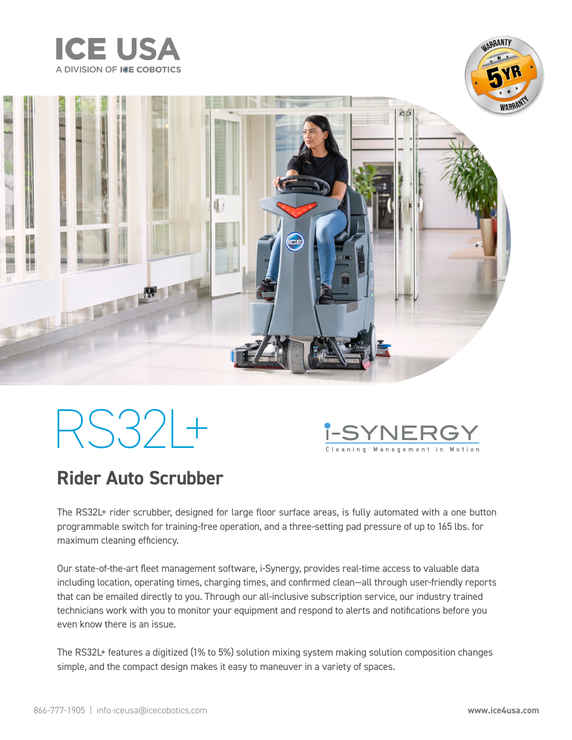





# RS32L+



### **Rider Auto Scrubber**

The RS32L+ rider scrubber, designed for large floor surface areas, is fully automated with a one button programmable switch for training-free operation, and a three-setting pad pressure of up to 165 lbs. for maximum cleaning efficiency.

Our state-of-the-art fleet management software, i-Synergy, provides real-time access to valuable data including location, operating times, charging times, and confirmed clean—all through user-friendly reports that can be emailed directly to you. Through our all-inclusive subscription service, our industry trained technicians work with you to monitor your equipment and respond to alerts and notifications before you even know there is an issue.

The RS32L+ features a digitized (1% to 5%) solution mixing system making solution composition changes simple, and the compact design makes it easy to maneuver in a variety of spaces.